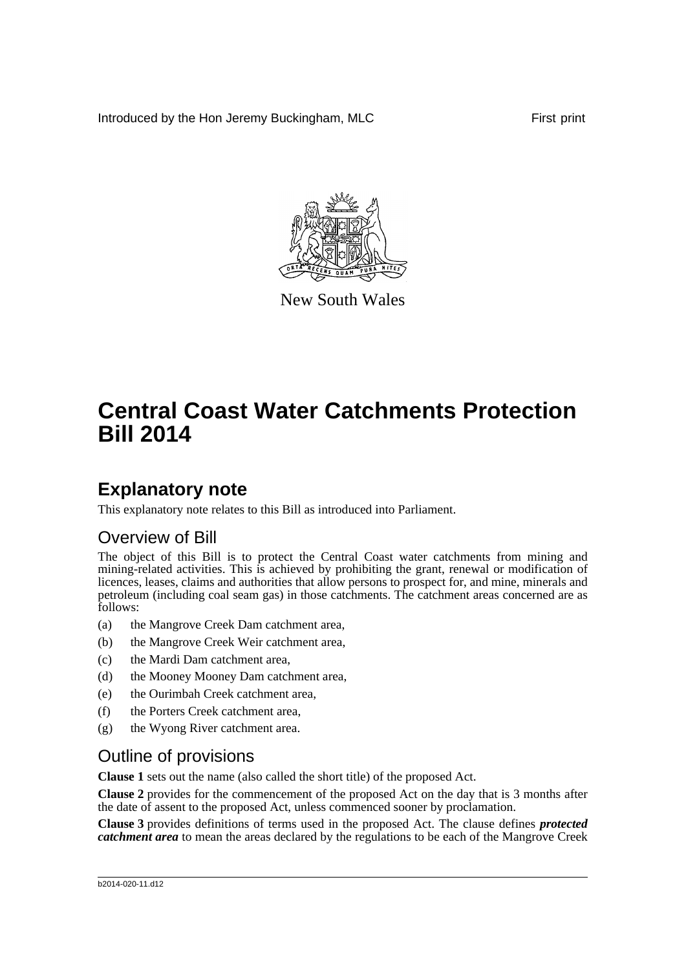Introduced by the Hon Jeremy Buckingham, MLC First print



New South Wales

# **Central Coast Water Catchments Protection Bill 2014**

## **Explanatory note**

This explanatory note relates to this Bill as introduced into Parliament.

### Overview of Bill

The object of this Bill is to protect the Central Coast water catchments from mining and mining-related activities. This is achieved by prohibiting the grant, renewal or modification of licences, leases, claims and authorities that allow persons to prospect for, and mine, minerals and petroleum (including coal seam gas) in those catchments. The catchment areas concerned are as follows:

- (a) the Mangrove Creek Dam catchment area,
- (b) the Mangrove Creek Weir catchment area,
- (c) the Mardi Dam catchment area,
- (d) the Mooney Mooney Dam catchment area,
- (e) the Ourimbah Creek catchment area,
- (f) the Porters Creek catchment area,
- (g) the Wyong River catchment area.

### Outline of provisions

**Clause 1** sets out the name (also called the short title) of the proposed Act.

**Clause 2** provides for the commencement of the proposed Act on the day that is 3 months after the date of assent to the proposed Act, unless commenced sooner by proclamation.

**Clause 3** provides definitions of terms used in the proposed Act. The clause defines *protected catchment area* to mean the areas declared by the regulations to be each of the Mangrove Creek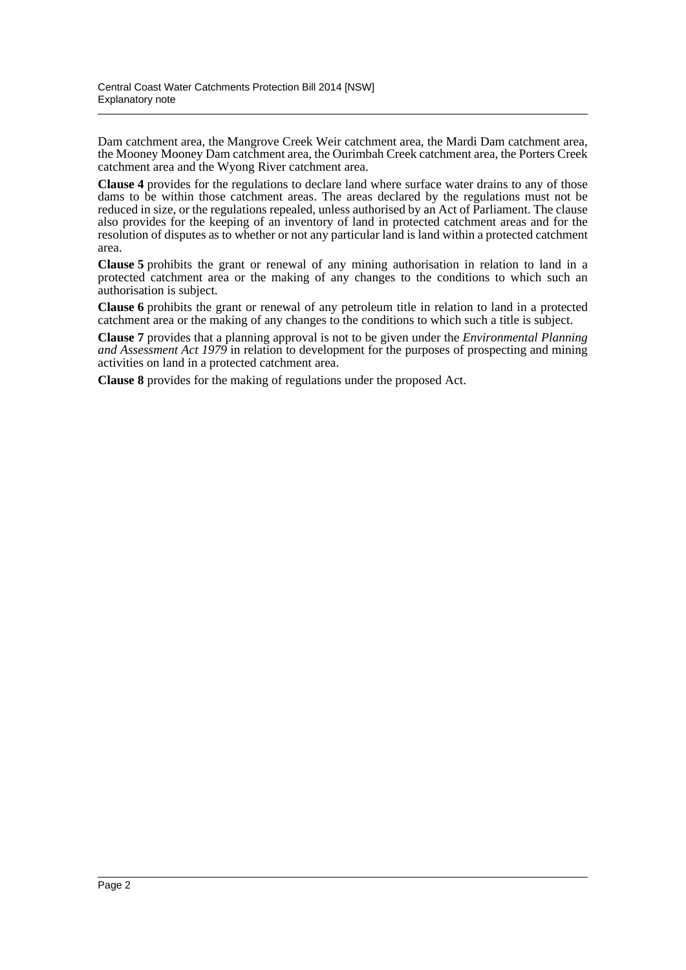Dam catchment area, the Mangrove Creek Weir catchment area, the Mardi Dam catchment area, the Mooney Mooney Dam catchment area, the Ourimbah Creek catchment area, the Porters Creek catchment area and the Wyong River catchment area.

**Clause 4** provides for the regulations to declare land where surface water drains to any of those dams to be within those catchment areas. The areas declared by the regulations must not be reduced in size, or the regulations repealed, unless authorised by an Act of Parliament. The clause also provides for the keeping of an inventory of land in protected catchment areas and for the resolution of disputes as to whether or not any particular land is land within a protected catchment area.

**Clause 5** prohibits the grant or renewal of any mining authorisation in relation to land in a protected catchment area or the making of any changes to the conditions to which such an authorisation is subject.

**Clause 6** prohibits the grant or renewal of any petroleum title in relation to land in a protected catchment area or the making of any changes to the conditions to which such a title is subject.

**Clause 7** provides that a planning approval is not to be given under the *Environmental Planning and Assessment Act 1979* in relation to development for the purposes of prospecting and mining activities on land in a protected catchment area.

**Clause 8** provides for the making of regulations under the proposed Act.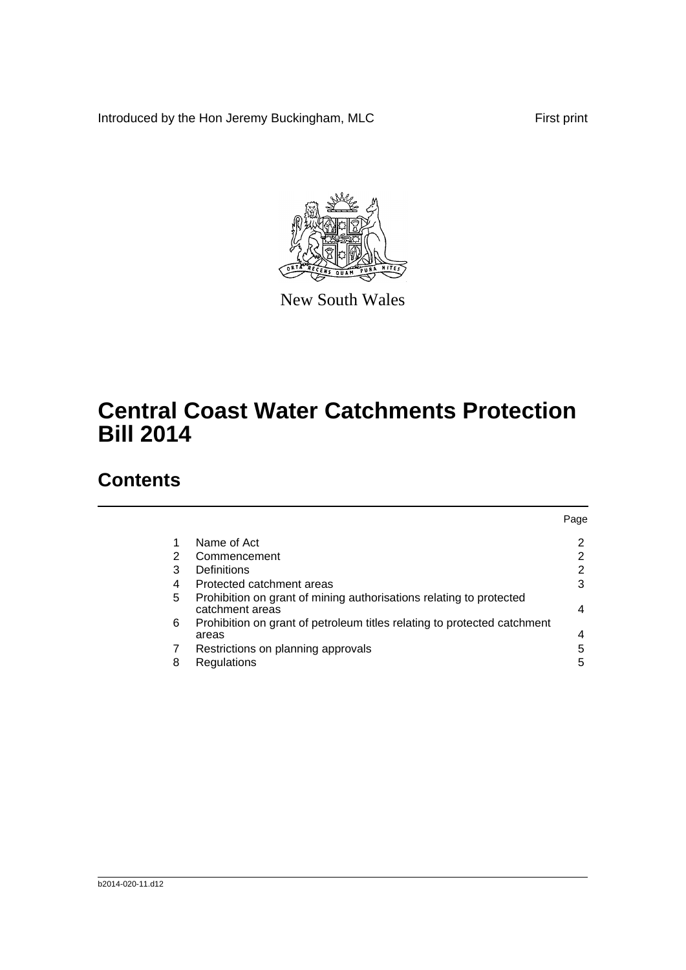Introduced by the Hon Jeremy Buckingham, MLC First print



New South Wales

# **Central Coast Water Catchments Protection Bill 2014**

## **Contents**

|   |                                                                                        | Page |
|---|----------------------------------------------------------------------------------------|------|
|   | Name of Act                                                                            | 2    |
| 2 | Commencement                                                                           | 2    |
| 3 | Definitions                                                                            | ົ    |
| 4 | Protected catchment areas                                                              | 3    |
| 5 | Prohibition on grant of mining authorisations relating to protected<br>catchment areas | 4    |
| 6 | Prohibition on grant of petroleum titles relating to protected catchment<br>areas      |      |
|   | Restrictions on planning approvals                                                     | 5    |
| 8 | Regulations                                                                            | 5    |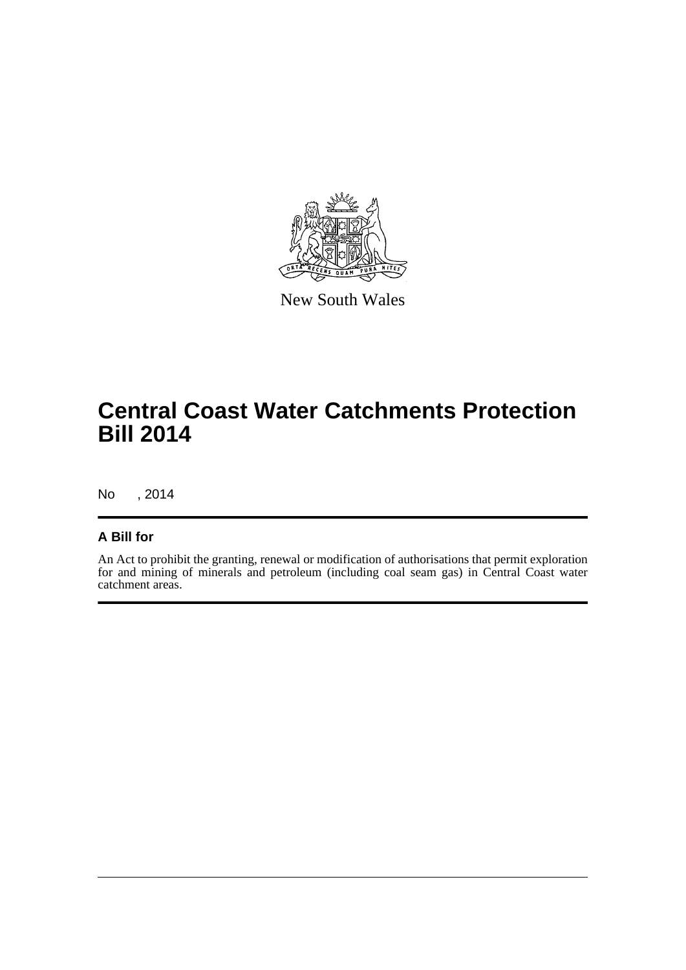

New South Wales

## **Central Coast Water Catchments Protection Bill 2014**

No , 2014

### **A Bill for**

An Act to prohibit the granting, renewal or modification of authorisations that permit exploration for and mining of minerals and petroleum (including coal seam gas) in Central Coast water catchment areas.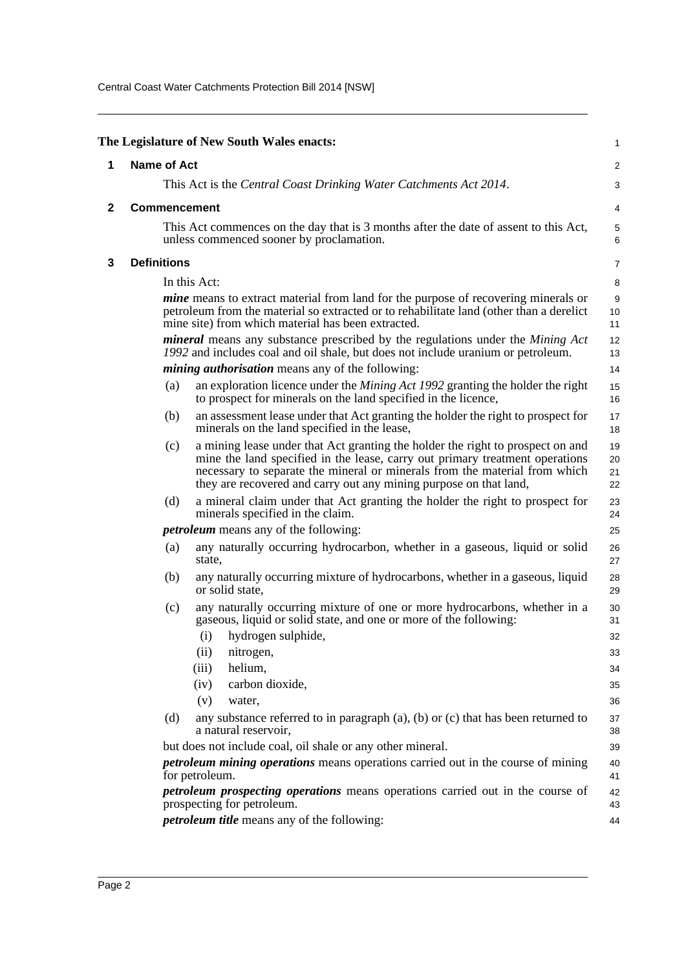Central Coast Water Catchments Protection Bill 2014 [NSW]

<span id="page-4-2"></span><span id="page-4-1"></span><span id="page-4-0"></span>

|                                                                                                                                                                                                                                            |                                                                                                                                                                    | The Legislature of New South Wales enacts:                                                                                                                                                                                                                                                                        | 1                    |  |  |
|--------------------------------------------------------------------------------------------------------------------------------------------------------------------------------------------------------------------------------------------|--------------------------------------------------------------------------------------------------------------------------------------------------------------------|-------------------------------------------------------------------------------------------------------------------------------------------------------------------------------------------------------------------------------------------------------------------------------------------------------------------|----------------------|--|--|
| 1                                                                                                                                                                                                                                          | <b>Name of Act</b>                                                                                                                                                 |                                                                                                                                                                                                                                                                                                                   |                      |  |  |
| This Act is the Central Coast Drinking Water Catchments Act 2014.                                                                                                                                                                          |                                                                                                                                                                    |                                                                                                                                                                                                                                                                                                                   |                      |  |  |
| 2                                                                                                                                                                                                                                          | <b>Commencement</b>                                                                                                                                                |                                                                                                                                                                                                                                                                                                                   | 4                    |  |  |
|                                                                                                                                                                                                                                            | This Act commences on the day that is 3 months after the date of assent to this Act,<br>unless commenced sooner by proclamation.                                   |                                                                                                                                                                                                                                                                                                                   |                      |  |  |
| 3                                                                                                                                                                                                                                          | <b>Definitions</b>                                                                                                                                                 |                                                                                                                                                                                                                                                                                                                   | $\overline{7}$       |  |  |
|                                                                                                                                                                                                                                            |                                                                                                                                                                    | In this Act:                                                                                                                                                                                                                                                                                                      | 8                    |  |  |
| <i>mine</i> means to extract material from land for the purpose of recovering minerals or<br>petroleum from the material so extracted or to rehabilitate land (other than a derelict<br>mine site) from which material has been extracted. |                                                                                                                                                                    |                                                                                                                                                                                                                                                                                                                   |                      |  |  |
|                                                                                                                                                                                                                                            | mineral means any substance prescribed by the regulations under the Mining Act<br>1992 and includes coal and oil shale, but does not include uranium or petroleum. |                                                                                                                                                                                                                                                                                                                   | 12<br>13             |  |  |
|                                                                                                                                                                                                                                            |                                                                                                                                                                    | <i>mining authorisation</i> means any of the following:                                                                                                                                                                                                                                                           | 14                   |  |  |
|                                                                                                                                                                                                                                            | (a)                                                                                                                                                                | an exploration licence under the <i>Mining Act 1992</i> granting the holder the right<br>to prospect for minerals on the land specified in the licence,                                                                                                                                                           | 15<br>16             |  |  |
|                                                                                                                                                                                                                                            | (b)                                                                                                                                                                | an assessment lease under that Act granting the holder the right to prospect for<br>minerals on the land specified in the lease,                                                                                                                                                                                  | 17<br>18             |  |  |
|                                                                                                                                                                                                                                            | (c)                                                                                                                                                                | a mining lease under that Act granting the holder the right to prospect on and<br>mine the land specified in the lease, carry out primary treatment operations<br>necessary to separate the mineral or minerals from the material from which<br>they are recovered and carry out any mining purpose on that land, | 19<br>20<br>21<br>22 |  |  |
| (d)                                                                                                                                                                                                                                        |                                                                                                                                                                    | a mineral claim under that Act granting the holder the right to prospect for<br>minerals specified in the claim.                                                                                                                                                                                                  | 23<br>24             |  |  |
|                                                                                                                                                                                                                                            |                                                                                                                                                                    | <i>petroleum</i> means any of the following:                                                                                                                                                                                                                                                                      | 25                   |  |  |
|                                                                                                                                                                                                                                            | (a)                                                                                                                                                                | any naturally occurring hydrocarbon, whether in a gaseous, liquid or solid<br>state,                                                                                                                                                                                                                              | 26<br>27             |  |  |
|                                                                                                                                                                                                                                            | (b)                                                                                                                                                                | any naturally occurring mixture of hydrocarbons, whether in a gaseous, liquid<br>or solid state.                                                                                                                                                                                                                  | 28<br>29             |  |  |
|                                                                                                                                                                                                                                            | (c)                                                                                                                                                                | any naturally occurring mixture of one or more hydrocarbons, whether in a<br>gaseous, liquid or solid state, and one or more of the following:                                                                                                                                                                    | 30<br>31             |  |  |
|                                                                                                                                                                                                                                            |                                                                                                                                                                    | (i)<br>hydrogen sulphide,                                                                                                                                                                                                                                                                                         | 32                   |  |  |
|                                                                                                                                                                                                                                            |                                                                                                                                                                    | (ii)<br>nitrogen,                                                                                                                                                                                                                                                                                                 | 33                   |  |  |
|                                                                                                                                                                                                                                            |                                                                                                                                                                    | helium,<br>(iii)                                                                                                                                                                                                                                                                                                  | 34                   |  |  |
|                                                                                                                                                                                                                                            |                                                                                                                                                                    | carbon dioxide,<br>(iv)                                                                                                                                                                                                                                                                                           | 35                   |  |  |
|                                                                                                                                                                                                                                            |                                                                                                                                                                    | (v)<br>water,<br>any substance referred to in paragraph $(a)$ , $(b)$ or $(c)$ that has been returned to                                                                                                                                                                                                          | 36                   |  |  |
|                                                                                                                                                                                                                                            | (d)                                                                                                                                                                | a natural reservoir,                                                                                                                                                                                                                                                                                              | 37<br>38             |  |  |
|                                                                                                                                                                                                                                            |                                                                                                                                                                    | but does not include coal, oil shale or any other mineral.                                                                                                                                                                                                                                                        | 39                   |  |  |
| for petroleum.                                                                                                                                                                                                                             |                                                                                                                                                                    | <i>petroleum mining operations</i> means operations carried out in the course of mining                                                                                                                                                                                                                           | 40<br>41             |  |  |
|                                                                                                                                                                                                                                            |                                                                                                                                                                    | petroleum prospecting operations means operations carried out in the course of<br>prospecting for petroleum.                                                                                                                                                                                                      | 42<br>43             |  |  |
|                                                                                                                                                                                                                                            | <i>petroleum title</i> means any of the following:<br>44                                                                                                           |                                                                                                                                                                                                                                                                                                                   |                      |  |  |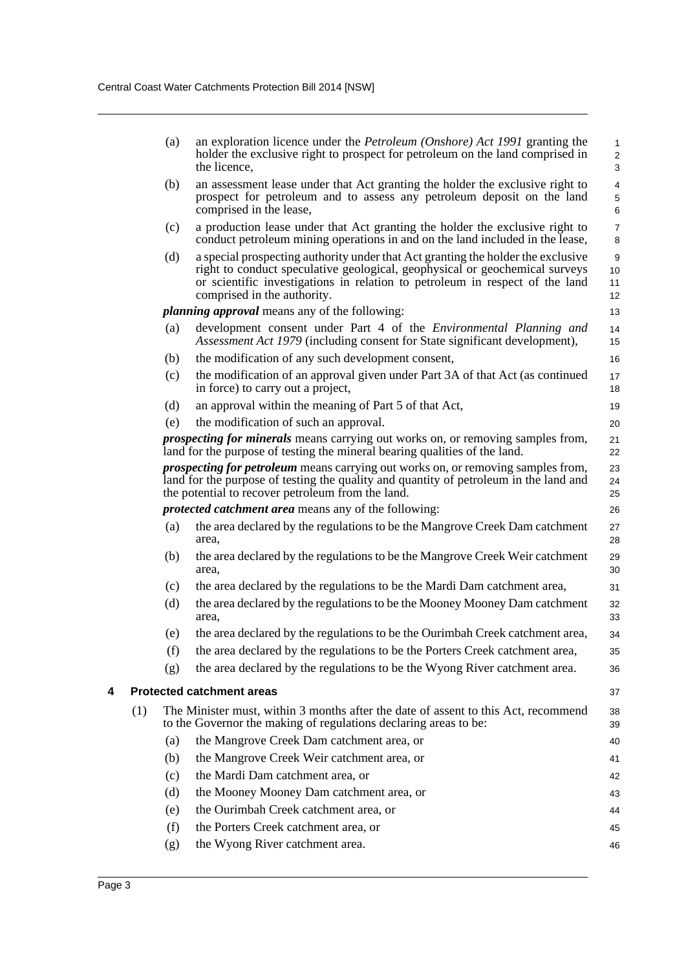<span id="page-5-0"></span>

|                                                             |                                                                                                                                                                                                                                       | (a)                                   | an exploration licence under the <i>Petroleum (Onshore)</i> Act 1991 granting the<br>holder the exclusive right to prospect for petroleum on the land comprised in<br>the licence,                                                                                             | 1<br>$\overline{\mathbf{c}}$<br>3 |
|-------------------------------------------------------------|---------------------------------------------------------------------------------------------------------------------------------------------------------------------------------------------------------------------------------------|---------------------------------------|--------------------------------------------------------------------------------------------------------------------------------------------------------------------------------------------------------------------------------------------------------------------------------|-----------------------------------|
|                                                             |                                                                                                                                                                                                                                       | (b)                                   | an assessment lease under that Act granting the holder the exclusive right to<br>prospect for petroleum and to assess any petroleum deposit on the land<br>comprised in the lease,                                                                                             | $\overline{\mathbf{4}}$<br>5<br>6 |
|                                                             |                                                                                                                                                                                                                                       | (c)                                   | a production lease under that Act granting the holder the exclusive right to<br>conduct petroleum mining operations in and on the land included in the lease,                                                                                                                  | $\overline{7}$<br>8               |
|                                                             |                                                                                                                                                                                                                                       | (d)                                   | a special prospecting authority under that Act granting the holder the exclusive<br>right to conduct speculative geological, geophysical or geochemical surveys<br>or scientific investigations in relation to petroleum in respect of the land<br>comprised in the authority. | 9<br>10<br>11<br>12               |
|                                                             |                                                                                                                                                                                                                                       |                                       | <i>planning approval</i> means any of the following:                                                                                                                                                                                                                           | 13                                |
|                                                             |                                                                                                                                                                                                                                       | (a)                                   | development consent under Part 4 of the <i>Environmental Planning and</i><br>Assessment Act 1979 (including consent for State significant development),                                                                                                                        | 14<br>15                          |
|                                                             |                                                                                                                                                                                                                                       | (b)                                   | the modification of any such development consent,                                                                                                                                                                                                                              | 16                                |
|                                                             |                                                                                                                                                                                                                                       | (c)                                   | the modification of an approval given under Part 3A of that Act (as continued<br>in force) to carry out a project,                                                                                                                                                             | 17<br>18                          |
|                                                             |                                                                                                                                                                                                                                       | (d)                                   | an approval within the meaning of Part 5 of that Act,                                                                                                                                                                                                                          | 19                                |
|                                                             |                                                                                                                                                                                                                                       | the modification of such an approval. | 20                                                                                                                                                                                                                                                                             |                                   |
|                                                             | (e)<br><i>prospecting for minerals</i> means carrying out works on, or removing samples from,<br>land for the purpose of testing the mineral bearing qualities of the land.                                                           |                                       |                                                                                                                                                                                                                                                                                |                                   |
|                                                             | <i>prospecting for petroleum</i> means carrying out works on, or removing samples from,<br>land for the purpose of testing the quality and quantity of petroleum in the land and<br>the potential to recover petroleum from the land. |                                       |                                                                                                                                                                                                                                                                                |                                   |
| <i>protected catchment area</i> means any of the following: |                                                                                                                                                                                                                                       |                                       |                                                                                                                                                                                                                                                                                | 26                                |
|                                                             |                                                                                                                                                                                                                                       | (a)                                   | the area declared by the regulations to be the Mangrove Creek Dam catchment<br>area,                                                                                                                                                                                           | 27<br>28                          |
|                                                             |                                                                                                                                                                                                                                       | (b)                                   | the area declared by the regulations to be the Mangrove Creek Weir catchment<br>area,                                                                                                                                                                                          | 29<br>30                          |
|                                                             |                                                                                                                                                                                                                                       | (c)                                   | the area declared by the regulations to be the Mardi Dam catchment area,                                                                                                                                                                                                       | 31                                |
|                                                             |                                                                                                                                                                                                                                       | (d)                                   | the area declared by the regulations to be the Mooney Mooney Dam catchment<br>area.                                                                                                                                                                                            | 32<br>33                          |
|                                                             |                                                                                                                                                                                                                                       | (e)                                   | the area declared by the regulations to be the Ourimbah Creek catchment area,                                                                                                                                                                                                  | 34                                |
|                                                             |                                                                                                                                                                                                                                       | (f)                                   | the area declared by the regulations to be the Porters Creek catchment area,                                                                                                                                                                                                   | 35                                |
|                                                             |                                                                                                                                                                                                                                       | (g)                                   | the area declared by the regulations to be the Wyong River catchment area.                                                                                                                                                                                                     | 36                                |
| 4                                                           |                                                                                                                                                                                                                                       |                                       | <b>Protected catchment areas</b>                                                                                                                                                                                                                                               | 37                                |
|                                                             | (1)                                                                                                                                                                                                                                   |                                       | The Minister must, within 3 months after the date of assent to this Act, recommend<br>to the Governor the making of regulations declaring areas to be:                                                                                                                         | 38<br>39                          |
|                                                             |                                                                                                                                                                                                                                       | (a)                                   | the Mangrove Creek Dam catchment area, or                                                                                                                                                                                                                                      | 40                                |
|                                                             |                                                                                                                                                                                                                                       | (b)                                   | the Mangrove Creek Weir catchment area, or                                                                                                                                                                                                                                     | 41                                |
|                                                             |                                                                                                                                                                                                                                       | (c)                                   | the Mardi Dam catchment area, or                                                                                                                                                                                                                                               | 42                                |
|                                                             |                                                                                                                                                                                                                                       | (d)                                   | the Mooney Mooney Dam catchment area, or                                                                                                                                                                                                                                       | 43                                |
|                                                             |                                                                                                                                                                                                                                       | (e)                                   | the Ourimbah Creek catchment area, or                                                                                                                                                                                                                                          | 44                                |
|                                                             |                                                                                                                                                                                                                                       | (f)                                   | the Porters Creek catchment area, or                                                                                                                                                                                                                                           | 45                                |
|                                                             |                                                                                                                                                                                                                                       | (g)                                   | the Wyong River catchment area.                                                                                                                                                                                                                                                | 46                                |
|                                                             |                                                                                                                                                                                                                                       |                                       |                                                                                                                                                                                                                                                                                |                                   |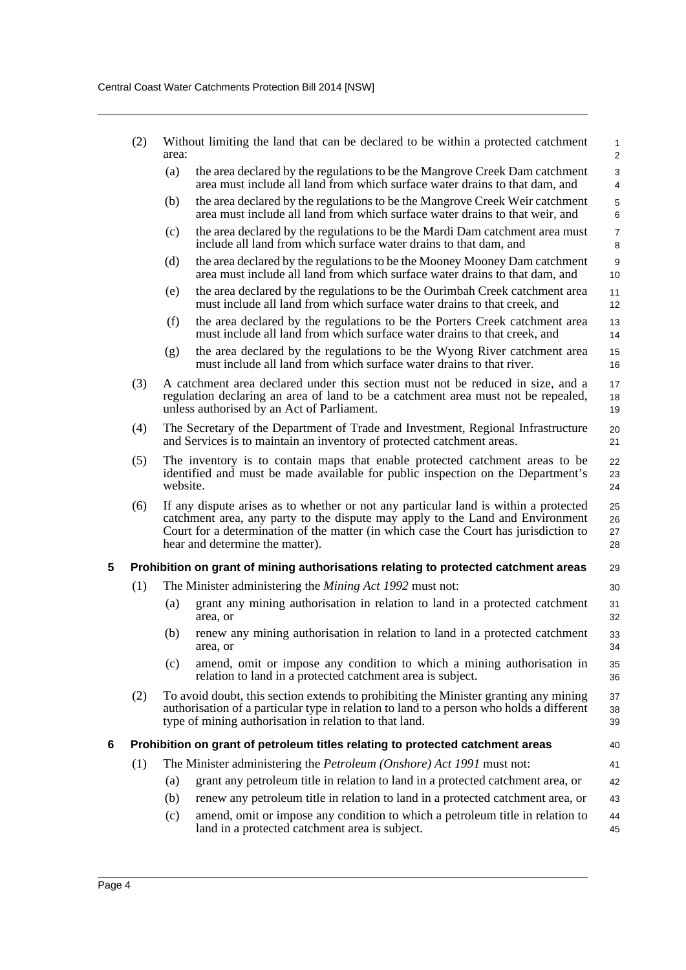<span id="page-6-1"></span><span id="page-6-0"></span>

| (2)<br>area:                                                                                                                                                                                                                                      |                                                                                                                                                                   |                                                                                                                                                                                                                                                                                                   | Without limiting the land that can be declared to be within a protected catchment                                                                                                                                  | $\mathbf{1}$<br>2      |  |  |
|---------------------------------------------------------------------------------------------------------------------------------------------------------------------------------------------------------------------------------------------------|-------------------------------------------------------------------------------------------------------------------------------------------------------------------|---------------------------------------------------------------------------------------------------------------------------------------------------------------------------------------------------------------------------------------------------------------------------------------------------|--------------------------------------------------------------------------------------------------------------------------------------------------------------------------------------------------------------------|------------------------|--|--|
|                                                                                                                                                                                                                                                   |                                                                                                                                                                   | (a)                                                                                                                                                                                                                                                                                               | the area declared by the regulations to be the Mangrove Creek Dam catchment<br>area must include all land from which surface water drains to that dam, and                                                         | 3<br>4                 |  |  |
|                                                                                                                                                                                                                                                   |                                                                                                                                                                   | (b)                                                                                                                                                                                                                                                                                               | the area declared by the regulations to be the Mangrove Creek Weir catchment<br>area must include all land from which surface water drains to that weir, and                                                       | 5<br>6                 |  |  |
|                                                                                                                                                                                                                                                   |                                                                                                                                                                   | (c)                                                                                                                                                                                                                                                                                               | the area declared by the regulations to be the Mardi Dam catchment area must<br>include all land from which surface water drains to that dam, and                                                                  | $\overline{7}$<br>8    |  |  |
|                                                                                                                                                                                                                                                   |                                                                                                                                                                   | (d)                                                                                                                                                                                                                                                                                               | the area declared by the regulations to be the Mooney Mooney Dam catchment<br>area must include all land from which surface water drains to that dam, and                                                          | $\boldsymbol{9}$<br>10 |  |  |
|                                                                                                                                                                                                                                                   |                                                                                                                                                                   | (e)                                                                                                                                                                                                                                                                                               | the area declared by the regulations to be the Ourimbah Creek catchment area<br>must include all land from which surface water drains to that creek, and                                                           | 11<br>12               |  |  |
|                                                                                                                                                                                                                                                   |                                                                                                                                                                   | (f)                                                                                                                                                                                                                                                                                               | the area declared by the regulations to be the Porters Creek catchment area<br>must include all land from which surface water drains to that creek, and                                                            | 13<br>14               |  |  |
|                                                                                                                                                                                                                                                   |                                                                                                                                                                   | (g)                                                                                                                                                                                                                                                                                               | the area declared by the regulations to be the Wyong River catchment area<br>must include all land from which surface water drains to that river.                                                                  | 15<br>16               |  |  |
|                                                                                                                                                                                                                                                   | (3)                                                                                                                                                               |                                                                                                                                                                                                                                                                                                   | A catchment area declared under this section must not be reduced in size, and a<br>regulation declaring an area of land to be a catchment area must not be repealed,<br>unless authorised by an Act of Parliament. | 17<br>18<br>19         |  |  |
|                                                                                                                                                                                                                                                   | The Secretary of the Department of Trade and Investment, Regional Infrastructure<br>(4)<br>and Services is to maintain an inventory of protected catchment areas. |                                                                                                                                                                                                                                                                                                   |                                                                                                                                                                                                                    |                        |  |  |
|                                                                                                                                                                                                                                                   | (5)                                                                                                                                                               | The inventory is to contain maps that enable protected catchment areas to be<br>identified and must be made available for public inspection on the Department's<br>website.                                                                                                                       |                                                                                                                                                                                                                    | 22<br>23<br>24         |  |  |
|                                                                                                                                                                                                                                                   | (6)                                                                                                                                                               | If any dispute arises as to whether or not any particular land is within a protected<br>catchment area, any party to the dispute may apply to the Land and Environment<br>Court for a determination of the matter (in which case the Court has jurisdiction to<br>hear and determine the matter). |                                                                                                                                                                                                                    |                        |  |  |
| 5                                                                                                                                                                                                                                                 | Prohibition on grant of mining authorisations relating to protected catchment areas<br>29                                                                         |                                                                                                                                                                                                                                                                                                   |                                                                                                                                                                                                                    |                        |  |  |
|                                                                                                                                                                                                                                                   | (1)                                                                                                                                                               |                                                                                                                                                                                                                                                                                                   | The Minister administering the <i>Mining Act 1992</i> must not:                                                                                                                                                    | 30                     |  |  |
|                                                                                                                                                                                                                                                   |                                                                                                                                                                   | (a)                                                                                                                                                                                                                                                                                               | grant any mining authorisation in relation to land in a protected catchment<br>area, or                                                                                                                            | 31<br>32               |  |  |
|                                                                                                                                                                                                                                                   |                                                                                                                                                                   | (b)                                                                                                                                                                                                                                                                                               | renew any mining authorisation in relation to land in a protected catchment<br>area, or                                                                                                                            | 33<br>34               |  |  |
|                                                                                                                                                                                                                                                   |                                                                                                                                                                   | (c)                                                                                                                                                                                                                                                                                               | amend, omit or impose any condition to which a mining authorisation in<br>relation to land in a protected catchment area is subject.                                                                               | 35<br>36               |  |  |
| To avoid doubt, this section extends to prohibiting the Minister granting any mining<br>(2)<br>authorisation of a particular type in relation to land to a person who holds a different<br>type of mining authorisation in relation to that land. |                                                                                                                                                                   |                                                                                                                                                                                                                                                                                                   | 37<br>38<br>39                                                                                                                                                                                                     |                        |  |  |
| 6                                                                                                                                                                                                                                                 |                                                                                                                                                                   |                                                                                                                                                                                                                                                                                                   | Prohibition on grant of petroleum titles relating to protected catchment areas                                                                                                                                     | 40                     |  |  |
|                                                                                                                                                                                                                                                   | (1)                                                                                                                                                               | The Minister administering the <i>Petroleum (Onshore)</i> Act 1991 must not:<br>41                                                                                                                                                                                                                |                                                                                                                                                                                                                    |                        |  |  |
|                                                                                                                                                                                                                                                   |                                                                                                                                                                   | (a)                                                                                                                                                                                                                                                                                               | grant any petroleum title in relation to land in a protected catchment area, or                                                                                                                                    | 42                     |  |  |
|                                                                                                                                                                                                                                                   |                                                                                                                                                                   | (b)                                                                                                                                                                                                                                                                                               | renew any petroleum title in relation to land in a protected catchment area, or                                                                                                                                    | 43                     |  |  |
|                                                                                                                                                                                                                                                   |                                                                                                                                                                   | (c)                                                                                                                                                                                                                                                                                               | amend, omit or impose any condition to which a petroleum title in relation to<br>land in a protected catchment area is subject.                                                                                    | 44<br>45               |  |  |